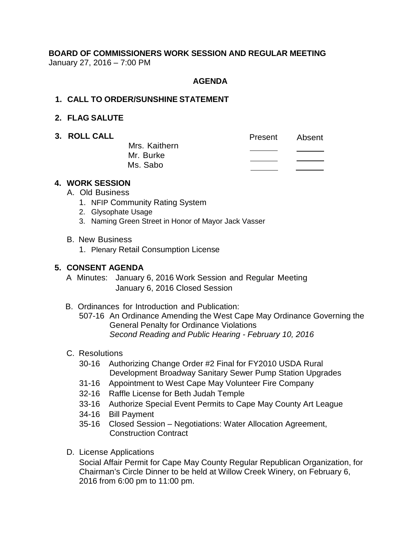# **BOARD OF COMMISSIONERS WORK SESSION AND REGULAR MEETING** January 27, 2016 – 7:00 PM

# **AGENDA**

#### **1. CALL TO ORDER/SUNSHINE STATEMENT**

#### **2. FLAG SALUTE**

**3. ROLL CALL CALL Present** Absent Mrs. Kaithern  $\overline{\phantom{a}}$ Mr. Burke Ms. Sabo

# **4. WORK SESSION**

- A. Old Business
	- 1. NFIP Community Rating System
	- 2. Glysophate Usage
	- 3. Naming Green Street in Honor of Mayor Jack Vasser
- B. New Business
	- 1. Plenary Retail Consumption License

# **5. CONSENT AGENDA**

- A Minutes: January 6, 2016 Work Session and Regular Meeting January 6, 2016 Closed Session
- B. Ordinances for Introduction and Publication: 507-16 An Ordinance Amending the West Cape May Ordinance Governing the General Penalty for Ordinance Violations *Second Reading and Public Hearing - February 10, 2016*
- C. Resolutions
	- 30-16 Authorizing Change Order #2 Final for FY2010 USDA Rural Development Broadway Sanitary Sewer Pump Station Upgrades
	- 31-16 Appointment to West Cape May Volunteer Fire Company
	- 32-16 Raffle License for Beth Judah Temple
	- 33-16 Authorize Special Event Permits to Cape May County Art League
	- 34-16 Bill Payment
	- 35-16 Closed Session Negotiations: Water Allocation Agreement, Construction Contract
- D. License Applications

Social Affair Permit for Cape May County Regular Republican Organization, for Chairman's Circle Dinner to be held at Willow Creek Winery, on February 6, 2016 from 6:00 pm to 11:00 pm.